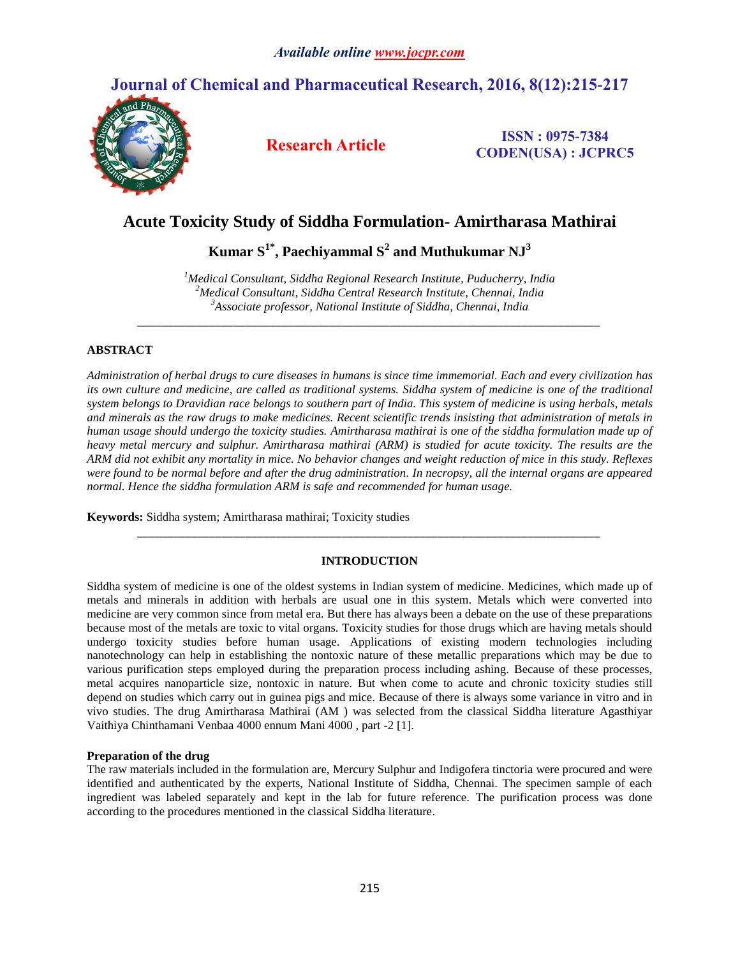# **Journal of Chemical and Pharmaceutical Research, 2016, 8(12):215-217**



**Research Article ISSN : 0975-7384 CODEN(USA) : JCPRC5**

# **Acute Toxicity Study of Siddha Formulation- Amirtharasa Mathirai**

 $\boldsymbol{\mathrm{K}$ umar  $\boldsymbol{\mathrm{S}}^{1^*}$ , Paechiyammal  $\boldsymbol{\mathrm{S}}^{2}$  and Muthukumar  $\boldsymbol{\mathrm{NJ}}^{3}$ 

*<sup>1</sup>Medical Consultant, Siddha Regional Research Institute, Puducherry, India <sup>2</sup>Medical Consultant, Siddha Central Research Institute, Chennai, India <sup>3</sup>Associate professor, National Institute of Siddha, Chennai, India*

*\_\_\_\_\_\_\_\_\_\_\_\_\_\_\_\_\_\_\_\_\_\_\_\_\_\_\_\_\_\_\_\_\_\_\_\_\_\_\_\_\_\_\_\_\_\_\_\_\_\_\_\_\_\_\_\_\_\_\_\_\_\_\_\_\_\_\_\_\_\_\_\_\_\_\_\_\_*

# **ABSTRACT**

*Administration of herbal drugs to cure diseases in humans is since time immemorial. Each and every civilization has its own culture and medicine, are called as traditional systems. Siddha system of medicine is one of the traditional system belongs to Dravidian race belongs to southern part of India. This system of medicine is using herbals, metals and minerals as the raw drugs to make medicines. Recent scientific trends insisting that administration of metals in human usage should undergo the toxicity studies. Amirtharasa mathirai is one of the siddha formulation made up of heavy metal mercury and sulphur. Amirtharasa mathirai (ARM) is studied for acute toxicity. The results are the ARM did not exhibit any mortality in mice. No behavior changes and weight reduction of mice in this study. Reflexes were found to be normal before and after the drug administration. In necropsy, all the internal organs are appeared normal. Hence the siddha formulation ARM is safe and recommended for human usage.* 

**Keywords:** Siddha system; Amirtharasa mathirai; Toxicity studies

# **INTRODUCTION**

*\_\_\_\_\_\_\_\_\_\_\_\_\_\_\_\_\_\_\_\_\_\_\_\_\_\_\_\_\_\_\_\_\_\_\_\_\_\_\_\_\_\_\_\_\_\_\_\_\_\_\_\_\_\_\_\_\_\_\_\_\_\_\_\_\_\_\_\_\_\_\_\_\_\_\_\_\_*

Siddha system of medicine is one of the oldest systems in Indian system of medicine. Medicines, which made up of metals and minerals in addition with herbals are usual one in this system. Metals which were converted into medicine are very common since from metal era. But there has always been a debate on the use of these preparations because most of the metals are toxic to vital organs. Toxicity studies for those drugs which are having metals should undergo toxicity studies before human usage. Applications of existing modern technologies including nanotechnology can help in establishing the nontoxic nature of these metallic preparations which may be due to various purification steps employed during the preparation process including ashing. Because of these processes, metal acquires nanoparticle size, nontoxic in nature. But when come to acute and chronic toxicity studies still depend on studies which carry out in guinea pigs and mice. Because of there is always some variance in vitro and in vivo studies. The drug Amirtharasa Mathirai (AM ) was selected from the classical Siddha literature Agasthiyar Vaithiya Chinthamani Venbaa 4000 ennum Mani 4000 , part -2 [1].

# **Preparation of the drug**

The raw materials included in the formulation are, Mercury Sulphur and Indigofera tinctoria were procured and were identified and authenticated by the experts, National Institute of Siddha, Chennai. The specimen sample of each ingredient was labeled separately and kept in the lab for future reference. The purification process was done according to the procedures mentioned in the classical Siddha literature.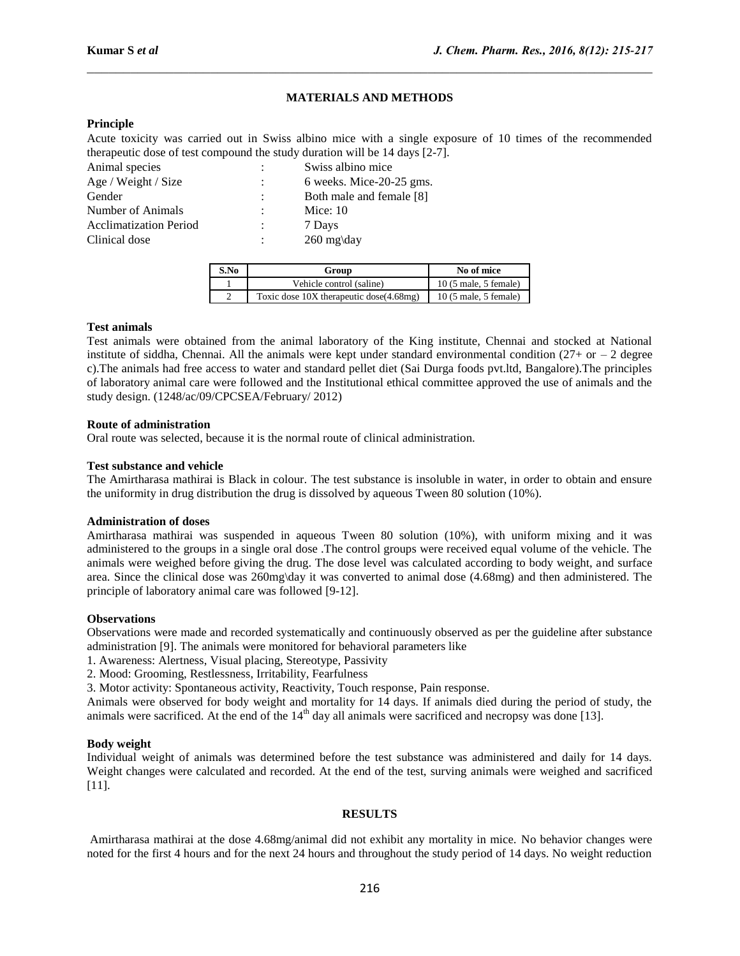## **MATERIALS AND METHODS**

 $\mathcal{L}_\mathcal{L} = \{ \mathcal{L}_\mathcal{L} = \{ \mathcal{L}_\mathcal{L} = \{ \mathcal{L}_\mathcal{L} = \{ \mathcal{L}_\mathcal{L} = \{ \mathcal{L}_\mathcal{L} = \{ \mathcal{L}_\mathcal{L} = \{ \mathcal{L}_\mathcal{L} = \{ \mathcal{L}_\mathcal{L} = \{ \mathcal{L}_\mathcal{L} = \{ \mathcal{L}_\mathcal{L} = \{ \mathcal{L}_\mathcal{L} = \{ \mathcal{L}_\mathcal{L} = \{ \mathcal{L}_\mathcal{L} = \{ \mathcal{L}_\mathcal{$ 

#### **Principle**

Acute toxicity was carried out in Swiss albino mice with a single exposure of 10 times of the recommended therapeutic dose of test compound the study duration will be 14 days [2-7].

| Animal species                | $\sim$         | Swiss albino mice        |
|-------------------------------|----------------|--------------------------|
| Age / Weight / Size           | $\mathcal{L}$  | 6 weeks. Mice-20-25 gms. |
| Gender                        | $\mathcal{L}$  | Both male and female [8] |
| Number of Animals             | $\mathcal{L}$  | Mice: $10$               |
| <b>Acclimatization Period</b> | $\mathbb{R}^n$ | 7 Days                   |
| Clinical dose                 |                | $260 \text{ mg}$ \day    |

| S.No      | Group                                   | No of mice                             |
|-----------|-----------------------------------------|----------------------------------------|
|           | Vehicle control (saline)                | $10(5 \text{ male}, 5 \text{ female})$ |
| $\bigcap$ | Toxic dose 10X therapeutic dose(4.68mg) | $10(5 \text{ male}, 5 \text{ female})$ |

#### **Test animals**

Test animals were obtained from the animal laboratory of the King institute, Chennai and stocked at National institute of siddha, Chennai. All the animals were kept under standard environmental condition  $(27 + or - 2$  degree c).The animals had free access to water and standard pellet diet (Sai Durga foods pvt.ltd, Bangalore).The principles of laboratory animal care were followed and the Institutional ethical committee approved the use of animals and the study design. (1248/ac/09/CPCSEA/February/ 2012)

## **Route of administration**

Oral route was selected, because it is the normal route of clinical administration.

## **Test substance and vehicle**

The Amirtharasa mathirai is Black in colour. The test substance is insoluble in water, in order to obtain and ensure the uniformity in drug distribution the drug is dissolved by aqueous Tween 80 solution (10%).

#### **Administration of doses**

Amirtharasa mathirai was suspended in aqueous Tween 80 solution (10%), with uniform mixing and it was administered to the groups in a single oral dose .The control groups were received equal volume of the vehicle. The animals were weighed before giving the drug. The dose level was calculated according to body weight, and surface area. Since the clinical dose was 260mg\day it was converted to animal dose (4.68mg) and then administered. The principle of laboratory animal care was followed [9-12].

#### **Observations**

Observations were made and recorded systematically and continuously observed as per the guideline after substance administration [9]. The animals were monitored for behavioral parameters like

1. Awareness: Alertness, Visual placing, Stereotype, Passivity

2. Mood: Grooming, Restlessness, Irritability, Fearfulness

3. Motor activity: Spontaneous activity, Reactivity, Touch response, Pain response.

Animals were observed for body weight and mortality for 14 days. If animals died during the period of study, the animals were sacrificed. At the end of the  $14<sup>th</sup>$  day all animals were sacrificed and necropsy was done [13].

#### **Body weight**

Individual weight of animals was determined before the test substance was administered and daily for 14 days. Weight changes were calculated and recorded. At the end of the test, surving animals were weighed and sacrificed [11].

# **RESULTS**

Amirtharasa mathirai at the dose 4.68mg/animal did not exhibit any mortality in mice. No behavior changes were noted for the first 4 hours and for the next 24 hours and throughout the study period of 14 days. No weight reduction